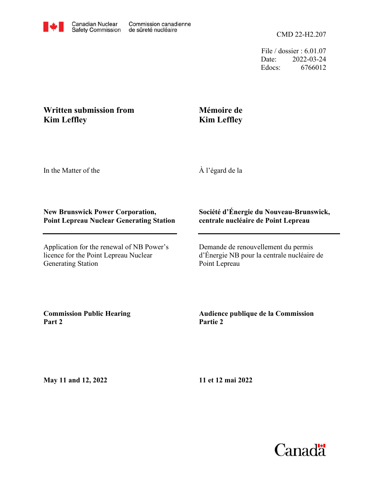File / dossier : 6.01.07 Date: 2022-03-24 Edocs: 6766012

# **Written submission from Kim Leffley**

# **Mémoire de Kim Leffley**

In the Matter of the

À l'égard de la

## **New Brunswick Power Corporation, Point Lepreau Nuclear Generating Station**

Application for the renewal of NB Power's licence for the Point Lepreau Nuclear Generating Station

## **Société d'Énergie du Nouveau-Brunswick, centrale nucléaire de Point Lepreau**

Demande de renouvellement du permis d'Énergie NB pour la centrale nucléaire de Point Lepreau

**Commission Public Hearing Part 2**

## **Audience publique de la Commission Partie 2**

**May 11 and 12, 2022**

**11 et 12 mai 2022**